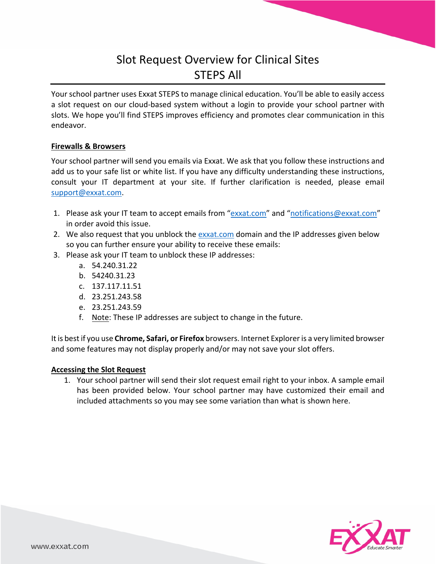## Slot Request Overview for Clinical Sites STEPS All

Your school partner uses Exxat STEPS to manage clinical education. You'll be able to easily access a slot request on our cloud-based system without a login to provide your school partner with slots. We hope you'll find STEPS improves efficiency and promotes clear communication in this endeavor.

## **Firewalls & Browsers**

Your school partner will send you emails via Exxat. We ask that you follow these instructions and add us to your safe list or white list. If you have any difficulty understanding these instructions, consult your IT department at your site. If further clarification is needed, please email support@exxat.com.

- 1. Please ask your IT team to accept emails from "exxat.com" and "notifications@exxat.com" in order avoid this issue.
- 2. We also request that you unblock the exxat.com domain and the IP addresses given below so you can further ensure your ability to receive these emails:
- 3. Please ask your IT team to unblock these IP addresses:
	- a. 54.240.31.22
	- b. 54240.31.23
	- c. 137.117.11.51
	- d. 23.251.243.58
	- e. 23.251.243.59
	- f. Note: These IP addresses are subject to change in the future.

It is best if you use **Chrome, Safari, or Firefox** browsers. Internet Explorer is a very limited browser and some features may not display properly and/or may not save your slot offers.

## **Accessing the Slot Request**

1. Your school partner will send their slot request email right to your inbox. A sample email has been provided below. Your school partner may have customized their email and included attachments so you may see some variation than what is shown here.

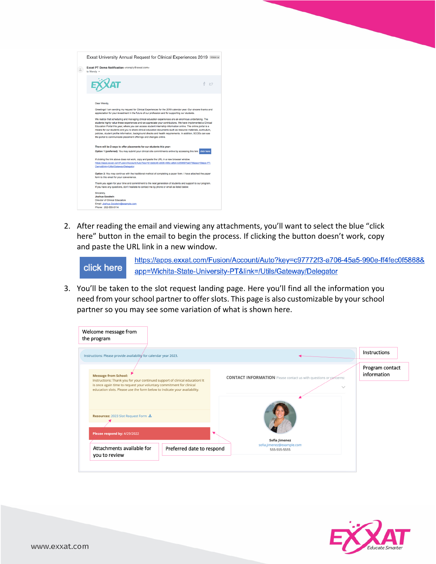

2. After reading the email and viewing any attachments, you'll want to select the blue "click here" button in the email to begin the process. If clicking the button doesn't work, copy and paste the URL link in a new window.

https://apps.exxat.com/Fusion/Account/Auto?key=c97772f3-a706-45a5-990e-ff4fec0f5868& click here app=Wichita-State-University-PT&link=/Utils/Gateway/Delegator

3. You'll be taken to the slot request landing page. Here you'll find all the information you need from your school partner to offer slots. This page is also customizable by your school partner so you may see some variation of what is shown here.



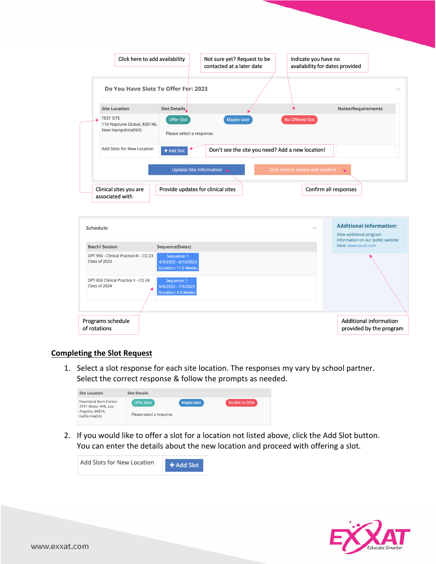| Do You Have Slots To Offer For: 2023<br><b>Site Location</b><br>Slot Details<br><b>TEST SITE</b><br>Offer Slot<br>Maybe later<br>No Offered Slot<br>110 Naptune Global, 830146,<br>New Hampshire(NH)<br>Please select a response.<br>Add Slots for New Location<br>Don't see the site you need? Add a new location!<br>+ Add Slot<br><b>Update Site Information</b><br>Click here to review and confirm<br>Clinical sites you are<br>Provide updates for clinical sites<br>Confirm all responses<br>associated with<br>$\checkmark$<br>Sequence(Dates)<br>Sequence: 1<br>4/3/2023 - 6/16/2023<br><b>Duration: 11.0 Weeks</b><br>Sequence: 1<br>6/6/2023 - 7/3/2023<br><b>Duration: 4.0 Weeks</b> |                                                                     | availability for dates provided | Indicate you have no | Not sure yet? Request to be<br>contacted at a later date | Click here to add availability |  |  |  |  |
|--------------------------------------------------------------------------------------------------------------------------------------------------------------------------------------------------------------------------------------------------------------------------------------------------------------------------------------------------------------------------------------------------------------------------------------------------------------------------------------------------------------------------------------------------------------------------------------------------------------------------------------------------------------------------------------------------|---------------------------------------------------------------------|---------------------------------|----------------------|----------------------------------------------------------|--------------------------------|--|--|--|--|
|                                                                                                                                                                                                                                                                                                                                                                                                                                                                                                                                                                                                                                                                                                  |                                                                     |                                 |                      |                                                          |                                |  |  |  |  |
|                                                                                                                                                                                                                                                                                                                                                                                                                                                                                                                                                                                                                                                                                                  | Notes/Requirements                                                  |                                 |                      |                                                          |                                |  |  |  |  |
|                                                                                                                                                                                                                                                                                                                                                                                                                                                                                                                                                                                                                                                                                                  |                                                                     |                                 |                      |                                                          |                                |  |  |  |  |
|                                                                                                                                                                                                                                                                                                                                                                                                                                                                                                                                                                                                                                                                                                  |                                                                     |                                 |                      |                                                          |                                |  |  |  |  |
| Schedule<br><b>Batch/ Session</b><br>DPT 950 - Clinical Practice IV - CO 23<br>Class of 2023<br>DPT 850 Clinical Practice II - CO 24<br>Class of 2024                                                                                                                                                                                                                                                                                                                                                                                                                                                                                                                                            |                                                                     |                                 |                      |                                                          |                                |  |  |  |  |
|                                                                                                                                                                                                                                                                                                                                                                                                                                                                                                                                                                                                                                                                                                  |                                                                     |                                 |                      |                                                          |                                |  |  |  |  |
|                                                                                                                                                                                                                                                                                                                                                                                                                                                                                                                                                                                                                                                                                                  |                                                                     |                                 |                      |                                                          |                                |  |  |  |  |
|                                                                                                                                                                                                                                                                                                                                                                                                                                                                                                                                                                                                                                                                                                  | View additional program                                             |                                 |                      |                                                          |                                |  |  |  |  |
|                                                                                                                                                                                                                                                                                                                                                                                                                                                                                                                                                                                                                                                                                                  | <b>Additional Information:</b><br>information on our public website | here: www.exxat.com             |                      |                                                          |                                |  |  |  |  |
|                                                                                                                                                                                                                                                                                                                                                                                                                                                                                                                                                                                                                                                                                                  |                                                                     |                                 |                      |                                                          |                                |  |  |  |  |
|                                                                                                                                                                                                                                                                                                                                                                                                                                                                                                                                                                                                                                                                                                  |                                                                     |                                 |                      |                                                          |                                |  |  |  |  |

## **Completing the Slot Request**

1. Select a slot response for each site location. The responses my vary by school partner. Select the correct response & follow the prompts as needed.

| <b>Site Location</b>                                                              | <b>Slot Details</b>                             |             |                  |
|-----------------------------------------------------------------------------------|-------------------------------------------------|-------------|------------------|
| Heartland Burn Center<br>3751 Motor AVE, Los<br>Angeles, 90034,<br>California(CA) | <b>Offer Slots</b><br>Please select a response. | Maybe later | No Slot to Offer |

2. If you would like to offer a slot for a location not listed above, click the Add Slot button. You can enter the details about the new location and proceed with offering a slot.

| Add Slots for New Location | $\div$ Add Slot |
|----------------------------|-----------------|
|                            |                 |